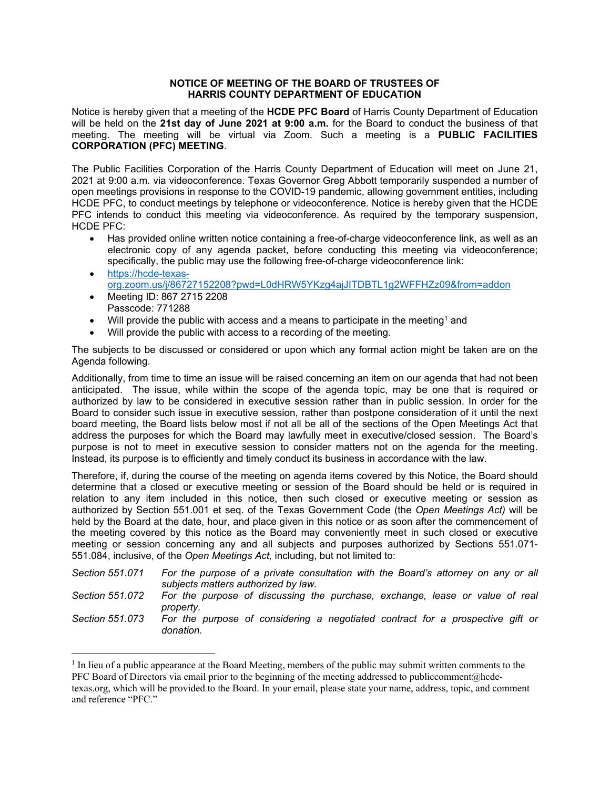## **NOTICE OF MEETING OF THE BOARD OF TRUSTEES OF HARRIS COUNTY DEPARTMENT OF EDUCATION**

Notice is hereby given that a meeting of the **HCDE PFC Board** of Harris County Department of Education will be held on the **21st day of June 2021 at 9:00 a.m.** for the Board to conduct the business of that meeting. The meeting will be virtual via Zoom. Such a meeting is a **PUBLIC FACILITIES CORPORATION (PFC) MEETING**.

The Public Facilities Corporation of the Harris County Department of Education will meet on June 21, 2021 at 9:00 a.m. via videoconference. Texas Governor Greg Abbott temporarily suspended a number of open meetings provisions in response to the COVID-19 pandemic, allowing government entities, including HCDE PFC, to conduct meetings by telephone or videoconference. Notice is hereby given that the HCDE PFC intends to conduct this meeting via videoconference. As required by the temporary suspension, HCDE PFC:

- Has provided online written notice containing a free-of-charge videoconference link, as well as an electronic copy of any agenda packet, before conducting this meeting via videoconference; specifically, the public may use the following free-of-charge videoconference link:
- <https://hcde-texas>org.zoom.us/j/86727152208?pwd=L0dHRW5YKzg4ajJITDBTL1g2WFFHZz09&from=addon
- Meeting ID: 867 2715 2208 Passcode: 771288
- Will provide the public with access and a means to participate in the meeting<sup>1</sup> and
- Will provide the public with access to a recording of the meeting.

The subjects to be discussed or considered or upon which any formal action might be taken are on the Agenda following.

Additionally, from time to time an issue will be raised concerning an item on our agenda that had not been anticipated. The issue, while within the scope of the agenda topic, may be one that is required or authorized by law to be considered in executive session rather than in public session. In order for the Board to consider such issue in executive session, rather than postpone consideration of it until the next board meeting, the Board lists below most if not all be all of the sections of the Open Meetings Act that address the purposes for which the Board may lawfully meet in executive/closed session. The Board's purpose is not to meet in executive session to consider matters not on the agenda for the meeting. Instead, its purpose is to efficiently and timely conduct its business in accordance with the law.

Therefore, if, during the course of the meeting on agenda items covered by this Notice, the Board should determine that a closed or executive meeting or session of the Board should be held or is required in relation to any item included in this notice, then such closed or executive meeting or session as authorized by Section 551.001 et seq. of the Texas Government Code (the *Open Meetings Act)* will be held by the Board at the date, hour, and place given in this notice or as soon after the commencement of the meeting covered by this notice as the Board may conveniently meet in such closed or executive meeting or session concerning any and all subjects and purposes authorized by Sections 551.071- 551.084, inclusive, of the *Open Meetings Act,* including, but not limited to:

*Section 551.071 For the purpose of a private consultation with the Board's attorney on any or all subjects matters authorized by law.* 

*Section 551.072 For the purpose of discussing the purchase, exchange, lease or value of real property.* 

*Section 551.073 For the purpose of considering a negotiated contract for a prospective gift or donation.* 

<sup>&</sup>lt;sup>1</sup> In lieu of a public appearance at the Board Meeting, members of the public may submit written comments to the [texas.org](https://texas.org), which will be provided to the Board. In your email, please state your name, address, topic, and comment PFC Board of Directors via email prior to the beginning of the meeting addressed to publiccomment@hcdeand reference "PFC."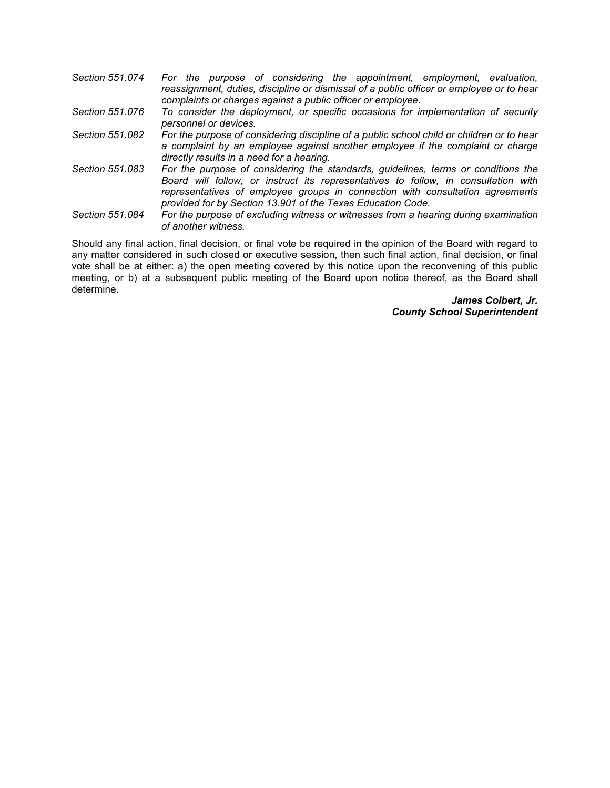| Section 551.074 | For the purpose of considering the appointment, employment, evaluation,                  |
|-----------------|------------------------------------------------------------------------------------------|
|                 | reassignment, duties, discipline or dismissal of a public officer or employee or to hear |
|                 | complaints or charges against a public officer or employee.                              |
| Section 551.076 | To consider the deployment, or specific occasions for implementation of security         |

- *personnel or devices. Section 551.082 For the purpose of considering discipline of a public school child or children or to hear a complaint by an employee against another employee if the complaint or charge directly results in a need for a hearing.*
- *Section 551.083 For the purpose of considering the standards, guidelines, terms or conditions the Board will follow, or instruct its representatives to follow, in consultation with representatives of employee groups in connection with consultation agreements provided for by Section 13.901 of the Texas Education Code.*
- *Section 551.084 For the purpose of excluding witness or witnesses from a hearing during examination of another witness.*

Should any final action, final decision, or final vote be required in the opinion of the Board with regard to any matter considered in such closed or executive session, then such final action, final decision, or final vote shall be at either: a) the open meeting covered by this notice upon the reconvening of this public meeting, or b) at a subsequent public meeting of the Board upon notice thereof, as the Board shall determine.

> *James Colbert, Jr. County School Superintendent*